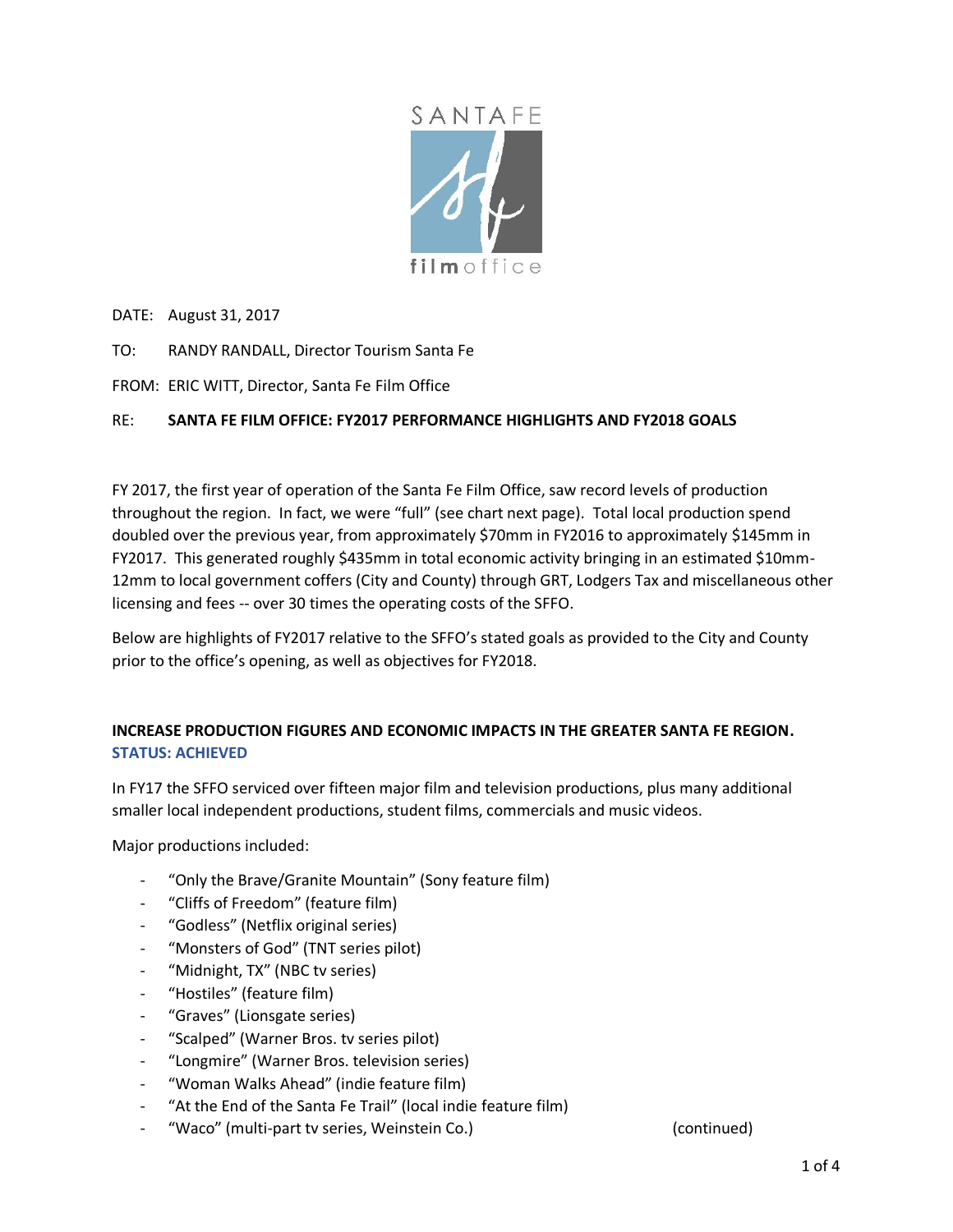

DATE: August 31, 2017

- TO: RANDY RANDALL, Director Tourism Santa Fe
- FROM: ERIC WITT, Director, Santa Fe Film Office

### RE: **SANTA FE FILM OFFICE: FY2017 PERFORMANCE HIGHLIGHTS AND FY2018 GOALS**

FY 2017, the first year of operation of the Santa Fe Film Office, saw record levels of production throughout the region. In fact, we were "full" (see chart next page). Total local production spend doubled over the previous year, from approximately \$70mm in FY2016 to approximately \$145mm in FY2017. This generated roughly \$435mm in total economic activity bringing in an estimated \$10mm-12mm to local government coffers (City and County) through GRT, Lodgers Tax and miscellaneous other licensing and fees -- over 30 times the operating costs of the SFFO.

Below are highlights of FY2017 relative to the SFFO's stated goals as provided to the City and County prior to the office's opening, as well as objectives for FY2018.

## **INCREASE PRODUCTION FIGURES AND ECONOMIC IMPACTS IN THE GREATER SANTA FE REGION. STATUS: ACHIEVED**

In FY17 the SFFO serviced over fifteen major film and television productions, plus many additional smaller local independent productions, student films, commercials and music videos.

Major productions included:

- "Only the Brave/Granite Mountain" (Sony feature film)
- "Cliffs of Freedom" (feature film)
- "Godless" (Netflix original series)
- "Monsters of God" (TNT series pilot)
- "Midnight, TX" (NBC tv series)
- "Hostiles" (feature film)
- "Graves" (Lionsgate series)
- "Scalped" (Warner Bros. tv series pilot)
- "Longmire" (Warner Bros. television series)
- "Woman Walks Ahead" (indie feature film)
- "At the End of the Santa Fe Trail" (local indie feature film)
- "Waco" (multi-part tv series, Weinstein Co.) (continued)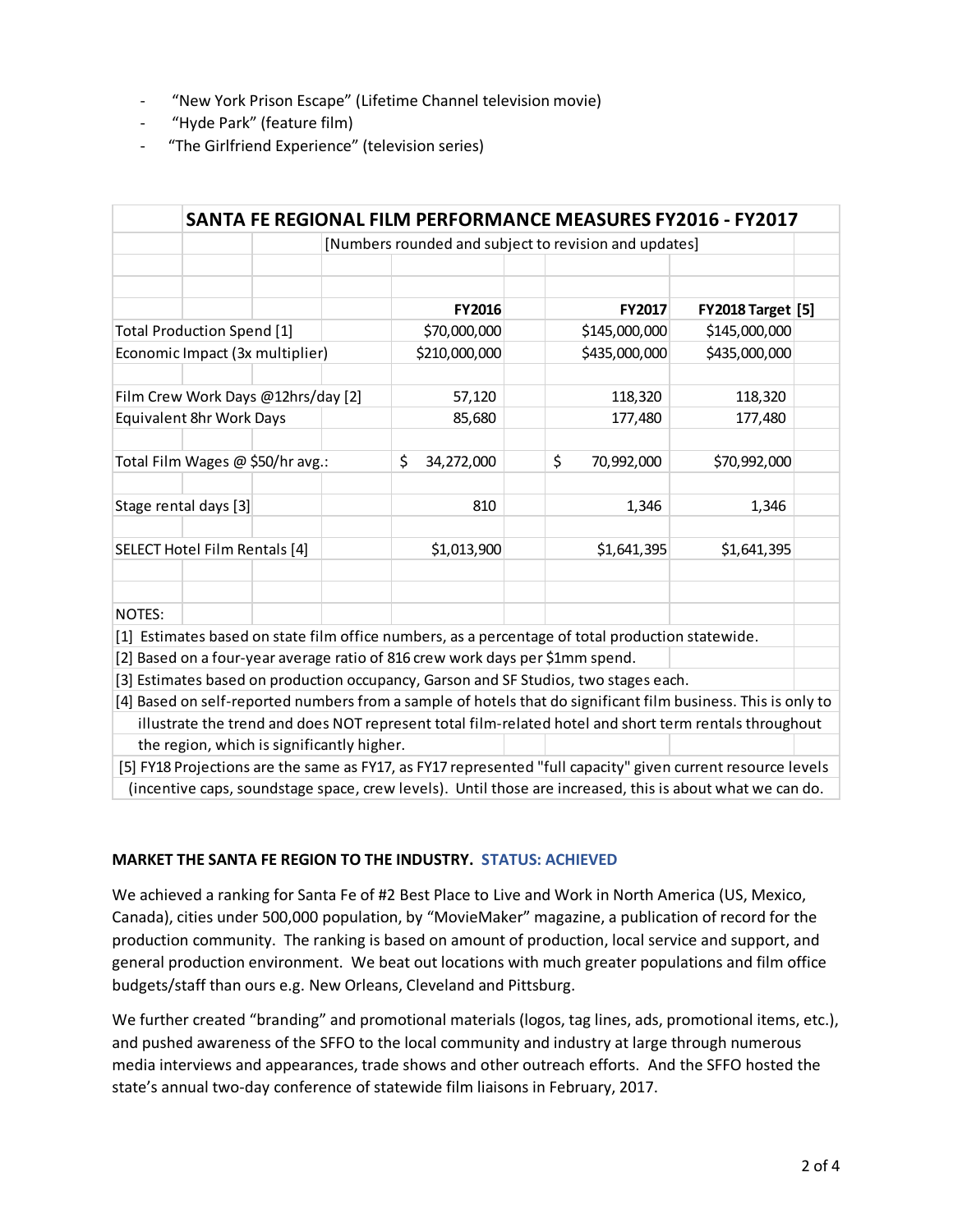- "New York Prison Escape" (Lifetime Channel television movie)
- "Hyde Park" (feature film)
- "The Girlfriend Experience" (television series)

|                                                                                      |                                                       |  |  |                                                                               | SANTA FE REGIONAL FILM PERFORMANCE MEASURES FY2016 - FY2017                                                   |                          |  |
|--------------------------------------------------------------------------------------|-------------------------------------------------------|--|--|-------------------------------------------------------------------------------|---------------------------------------------------------------------------------------------------------------|--------------------------|--|
|                                                                                      | [Numbers rounded and subject to revision and updates] |  |  |                                                                               |                                                                                                               |                          |  |
|                                                                                      |                                                       |  |  |                                                                               |                                                                                                               |                          |  |
|                                                                                      |                                                       |  |  |                                                                               |                                                                                                               |                          |  |
|                                                                                      |                                                       |  |  | FY2016                                                                        | FY2017                                                                                                        | <b>FY2018 Target [5]</b> |  |
| <b>Total Production Spend [1]</b>                                                    |                                                       |  |  | \$70,000,000                                                                  | \$145,000,000                                                                                                 | \$145,000,000            |  |
| Economic Impact (3x multiplier)                                                      |                                                       |  |  | \$210,000,000                                                                 | \$435,000,000                                                                                                 | \$435,000,000            |  |
|                                                                                      |                                                       |  |  |                                                                               |                                                                                                               |                          |  |
| Film Crew Work Days @12hrs/day [2]                                                   |                                                       |  |  | 57,120                                                                        | 118,320                                                                                                       | 118,320                  |  |
| Equivalent 8hr Work Days                                                             |                                                       |  |  | 85,680                                                                        | 177,480                                                                                                       | 177,480                  |  |
|                                                                                      |                                                       |  |  |                                                                               |                                                                                                               |                          |  |
| Total Film Wages @ \$50/hr avg.:                                                     |                                                       |  |  | \$<br>34,272,000                                                              | \$<br>70,992,000                                                                                              | \$70,992,000             |  |
|                                                                                      |                                                       |  |  |                                                                               |                                                                                                               |                          |  |
|                                                                                      | Stage rental days [3]                                 |  |  | 810                                                                           | 1,346                                                                                                         | 1,346                    |  |
|                                                                                      |                                                       |  |  |                                                                               |                                                                                                               |                          |  |
| SELECT Hotel Film Rentals [4]                                                        |                                                       |  |  | \$1,013,900                                                                   | \$1,641,395                                                                                                   | \$1,641,395              |  |
|                                                                                      |                                                       |  |  |                                                                               |                                                                                                               |                          |  |
|                                                                                      |                                                       |  |  |                                                                               |                                                                                                               |                          |  |
| NOTES:                                                                               |                                                       |  |  |                                                                               |                                                                                                               |                          |  |
|                                                                                      |                                                       |  |  |                                                                               | [1] Estimates based on state film office numbers, as a percentage of total production statewide.              |                          |  |
|                                                                                      |                                                       |  |  | [2] Based on a four-year average ratio of 816 crew work days per \$1mm spend. |                                                                                                               |                          |  |
| [3] Estimates based on production occupancy, Garson and SF Studios, two stages each. |                                                       |  |  |                                                                               |                                                                                                               |                          |  |
|                                                                                      |                                                       |  |  |                                                                               | [4] Based on self-reported numbers from a sample of hotels that do significant film business. This is only to |                          |  |
|                                                                                      |                                                       |  |  |                                                                               | illustrate the trend and does NOT represent total film-related hotel and short term rentals throughout        |                          |  |
| the region, which is significantly higher.                                           |                                                       |  |  |                                                                               |                                                                                                               |                          |  |
|                                                                                      |                                                       |  |  |                                                                               | [5] FY18 Projections are the same as FY17, as FY17 represented "full capacity" given current resource levels  |                          |  |
|                                                                                      |                                                       |  |  |                                                                               | (incentive caps, soundstage space, crew levels). Until those are increased, this is about what we can do.     |                          |  |

#### **MARKET THE SANTA FE REGION TO THE INDUSTRY. STATUS: ACHIEVED**

We achieved a ranking for Santa Fe of #2 Best Place to Live and Work in North America (US, Mexico, Canada), cities under 500,000 population, by "MovieMaker" magazine, a publication of record for the production community. The ranking is based on amount of production, local service and support, and general production environment. We beat out locations with much greater populations and film office budgets/staff than ours e.g. New Orleans, Cleveland and Pittsburg.

We further created "branding" and promotional materials (logos, tag lines, ads, promotional items, etc.), and pushed awareness of the SFFO to the local community and industry at large through numerous media interviews and appearances, trade shows and other outreach efforts. And the SFFO hosted the state's annual two-day conference of statewide film liaisons in February, 2017.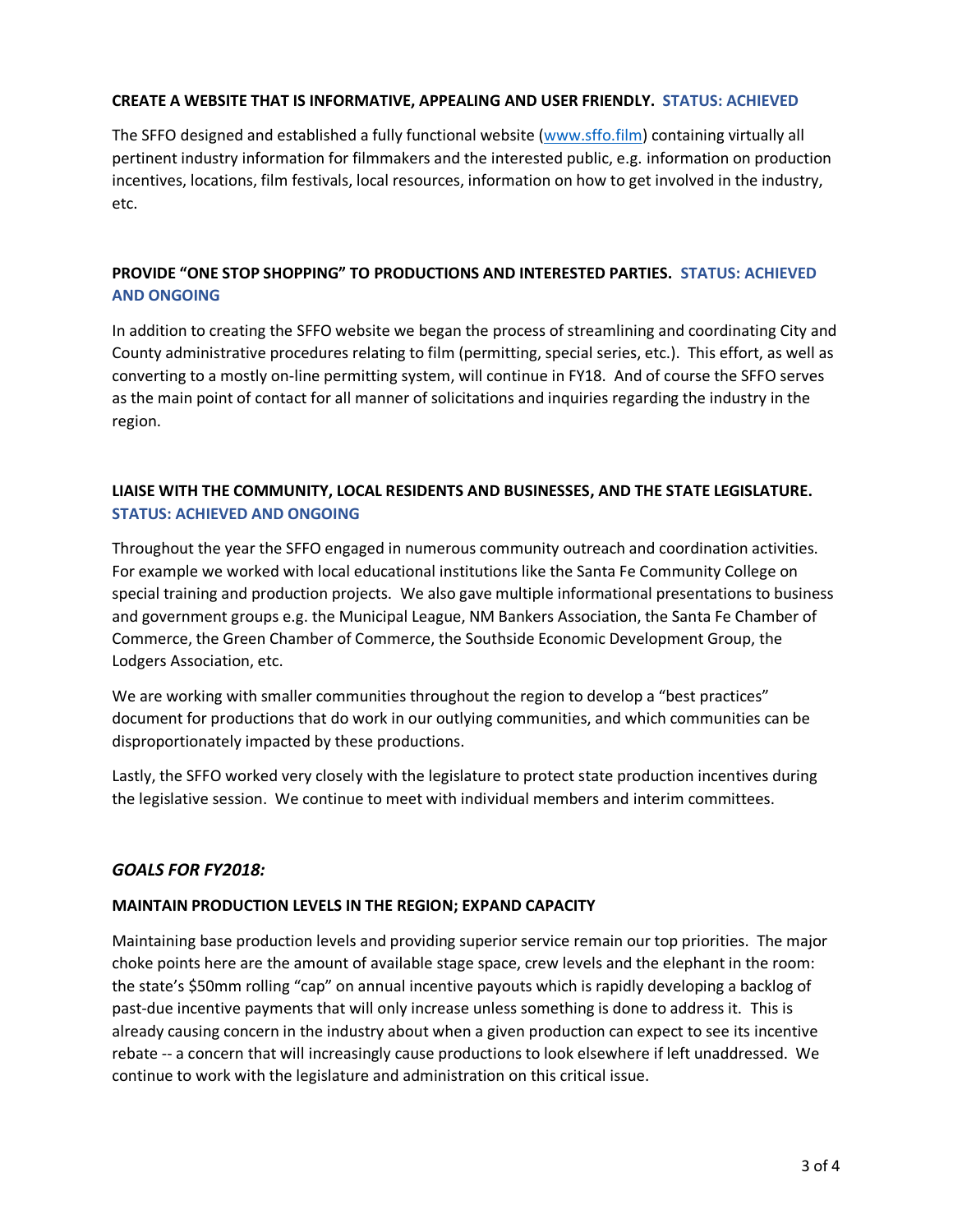#### **CREATE A WEBSITE THAT IS INFORMATIVE, APPEALING AND USER FRIENDLY. STATUS: ACHIEVED**

The SFFO designed and established a fully functional website [\(www.sffo.film\)](http://www.sffo.film/) containing virtually all pertinent industry information for filmmakers and the interested public, e.g. information on production incentives, locations, film festivals, local resources, information on how to get involved in the industry, etc.

# **PROVIDE "ONE STOP SHOPPING" TO PRODUCTIONS AND INTERESTED PARTIES. STATUS: ACHIEVED AND ONGOING**

In addition to creating the SFFO website we began the process of streamlining and coordinating City and County administrative procedures relating to film (permitting, special series, etc.). This effort, as well as converting to a mostly on-line permitting system, will continue in FY18. And of course the SFFO serves as the main point of contact for all manner of solicitations and inquiries regarding the industry in the region.

# **LIAISE WITH THE COMMUNITY, LOCAL RESIDENTS AND BUSINESSES, AND THE STATE LEGISLATURE. STATUS: ACHIEVED AND ONGOING**

Throughout the year the SFFO engaged in numerous community outreach and coordination activities. For example we worked with local educational institutions like the Santa Fe Community College on special training and production projects. We also gave multiple informational presentations to business and government groups e.g. the Municipal League, NM Bankers Association, the Santa Fe Chamber of Commerce, the Green Chamber of Commerce, the Southside Economic Development Group, the Lodgers Association, etc.

We are working with smaller communities throughout the region to develop a "best practices" document for productions that do work in our outlying communities, and which communities can be disproportionately impacted by these productions.

Lastly, the SFFO worked very closely with the legislature to protect state production incentives during the legislative session. We continue to meet with individual members and interim committees.

#### *GOALS FOR FY2018:*

#### **MAINTAIN PRODUCTION LEVELS IN THE REGION; EXPAND CAPACITY**

Maintaining base production levels and providing superior service remain our top priorities. The major choke points here are the amount of available stage space, crew levels and the elephant in the room: the state's \$50mm rolling "cap" on annual incentive payouts which is rapidly developing a backlog of past-due incentive payments that will only increase unless something is done to address it. This is already causing concern in the industry about when a given production can expect to see its incentive rebate -- a concern that will increasingly cause productions to look elsewhere if left unaddressed. We continue to work with the legislature and administration on this critical issue.